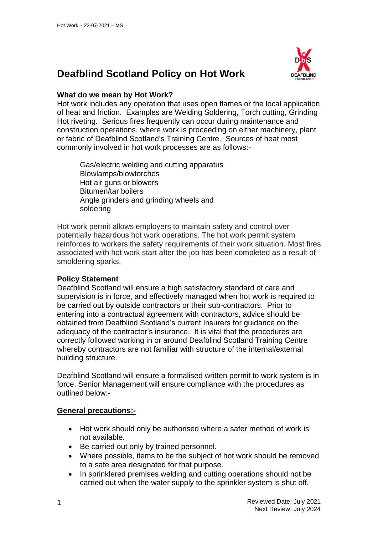# **Deafblind Scotland Policy on Hot Work**



## **What do we mean by Hot Work?**

Hot work includes any operation that uses open flames or the local application of heat and friction. Examples are Welding Soldering, Torch cutting, Grinding Hot riveting. Serious fires frequently can occur during maintenance and construction operations, where work is proceeding on either machinery, plant or fabric of Deafblind Scotland's Training Centre. Sources of heat most commonly involved in hot work processes are as follows:-

Gas/electric welding and cutting apparatus Blowlamps/blowtorches Hot air guns or blowers Bitumen/tar boilers Angle grinders and grinding wheels and soldering

Hot work permit allows employers to maintain safety and control over potentially hazardous hot work operations. The hot work permit system reinforces to workers the safety requirements of their work situation. Most fires associated with hot work start after the job has been completed as a result of smoldering sparks.

#### **Policy Statement**

Deafblind Scotland will ensure a high satisfactory standard of care and supervision is in force, and effectively managed when hot work is required to be carried out by outside contractors or their sub-contractors. Prior to entering into a contractual agreement with contractors, advice should be obtained from Deafblind Scotland's current Insurers for guidance on the adequacy of the contractor's insurance. It is vital that the procedures are correctly followed working in or around Deafblind Scotland Training Centre whereby contractors are not familiar with structure of the internal/external building structure.

Deafblind Scotland will ensure a formalised written permit to work system is in force, Senior Management will ensure compliance with the procedures as outlined below:-

# **General precautions:-**

- Hot work should only be authorised where a safer method of work is not available.
- Be carried out only by trained personnel.
- Where possible, items to be the subject of hot work should be removed to a safe area designated for that purpose.
- In sprinklered premises welding and cutting operations should not be carried out when the water supply to the sprinkler system is shut off.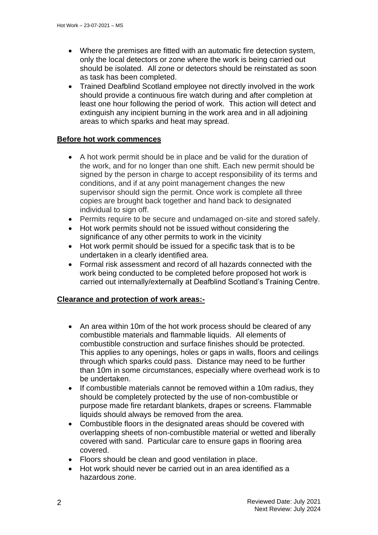- Where the premises are fitted with an automatic fire detection system, only the local detectors or zone where the work is being carried out should be isolated. All zone or detectors should be reinstated as soon as task has been completed.
- Trained Deafblind Scotland employee not directly involved in the work should provide a continuous fire watch during and after completion at least one hour following the period of work. This action will detect and extinguish any incipient burning in the work area and in all adjoining areas to which sparks and heat may spread.

#### **Before hot work commences**

- A hot work permit should be in place and be valid for the duration of the work, and for no longer than one shift. Each new permit should be signed by the person in charge to accept responsibility of its terms and conditions, and if at any point management changes the new supervisor should sign the permit. Once work is complete all three copies are brought back together and hand back to designated individual to sign off.
- Permits require to be secure and undamaged on-site and stored safely.
- Hot work permits should not be issued without considering the significance of any other permits to work in the vicinity
- Hot work permit should be issued for a specific task that is to be undertaken in a clearly identified area.
- Formal risk assessment and record of all hazards connected with the work being conducted to be completed before proposed hot work is carried out internally/externally at Deafblind Scotland's Training Centre.

#### **Clearance and protection of work areas:-**

- An area within 10m of the hot work process should be cleared of any combustible materials and flammable liquids. All elements of combustible construction and surface finishes should be protected. This applies to any openings, holes or gaps in walls, floors and ceilings through which sparks could pass. Distance may need to be further than 10m in some circumstances, especially where overhead work is to be undertaken.
- If combustible materials cannot be removed within a 10m radius, they should be completely protected by the use of non-combustible or purpose made fire retardant blankets, drapes or screens. Flammable liquids should always be removed from the area.
- Combustible floors in the designated areas should be covered with overlapping sheets of non-combustible material or wetted and liberally covered with sand. Particular care to ensure gaps in flooring area covered.
- Floors should be clean and good ventilation in place.
- Hot work should never be carried out in an area identified as a hazardous zone.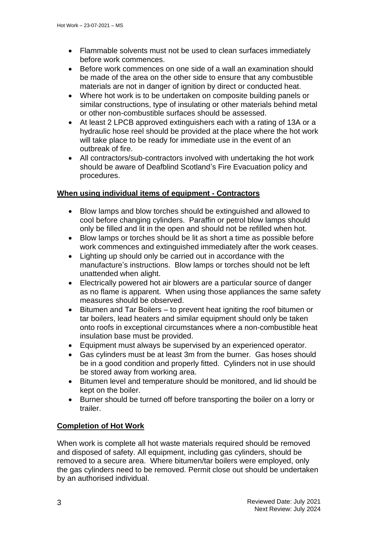- Flammable solvents must not be used to clean surfaces immediately before work commences.
- Before work commences on one side of a wall an examination should be made of the area on the other side to ensure that any combustible materials are not in danger of ignition by direct or conducted heat.
- Where hot work is to be undertaken on composite building panels or similar constructions, type of insulating or other materials behind metal or other non-combustible surfaces should be assessed.
- At least 2 LPCB approved extinguishers each with a rating of 13A or a hydraulic hose reel should be provided at the place where the hot work will take place to be ready for immediate use in the event of an outbreak of fire.
- All contractors/sub-contractors involved with undertaking the hot work should be aware of Deafblind Scotland's Fire Evacuation policy and procedures.

## **When using individual items of equipment - Contractors**

- Blow lamps and blow torches should be extinguished and allowed to cool before changing cylinders. Paraffin or petrol blow lamps should only be filled and lit in the open and should not be refilled when hot.
- Blow lamps or torches should be lit as short a time as possible before work commences and extinguished immediately after the work ceases.
- Lighting up should only be carried out in accordance with the manufacture's instructions. Blow lamps or torches should not be left unattended when alight.
- Electrically powered hot air blowers are a particular source of danger as no flame is apparent. When using those appliances the same safety measures should be observed.
- Bitumen and Tar Boilers to prevent heat igniting the roof bitumen or tar boilers, lead heaters and similar equipment should only be taken onto roofs in exceptional circumstances where a non-combustible heat insulation base must be provided.
- Equipment must always be supervised by an experienced operator.
- Gas cylinders must be at least 3m from the burner. Gas hoses should be in a good condition and properly fitted. Cylinders not in use should be stored away from working area.
- Bitumen level and temperature should be monitored, and lid should be kept on the boiler.
- Burner should be turned off before transporting the boiler on a lorry or trailer.

# **Completion of Hot Work**

When work is complete all hot waste materials required should be removed and disposed of safety. All equipment, including gas cylinders, should be removed to a secure area. Where bitumen/tar boilers were employed, only the gas cylinders need to be removed. Permit close out should be undertaken by an authorised individual.